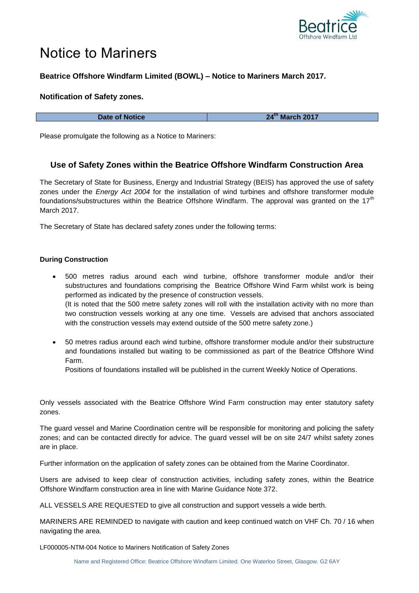

# Notice to Mariners

## **Beatrice Offshore Windfarm Limited (BOWL) – Notice to Mariners March 2017.**

### **Notification of Safety zones.**

**Date of Notice 24<sup>th</sup> March 2017** 

Please promulgate the following as a Notice to Mariners:

## **Use of Safety Zones within the Beatrice Offshore Windfarm Construction Area**

The Secretary of State for Business, Energy and Industrial Strategy (BEIS) has approved the use of safety zones under the *Energy Act 2004* for the installation of wind turbines and offshore transformer module foundations/substructures within the Beatrice Offshore Windfarm. The approval was granted on the 17<sup>th</sup> March 2017.

The Secretary of State has declared safety zones under the following terms:

#### **During Construction**

- 500 metres radius around each wind turbine, offshore transformer module and/or their substructures and foundations comprising the Beatrice Offshore Wind Farm whilst work is being performed as indicated by the presence of construction vessels. (It is noted that the 500 metre safety zones will roll with the installation activity with no more than two construction vessels working at any one time. Vessels are advised that anchors associated with the construction vessels may extend outside of the 500 metre safety zone.)
- 50 metres radius around each wind turbine, offshore transformer module and/or their substructure and foundations installed but waiting to be commissioned as part of the Beatrice Offshore Wind Farm.

Positions of foundations installed will be published in the current Weekly Notice of Operations.

Only vessels associated with the Beatrice Offshore Wind Farm construction may enter statutory safety zones.

The guard vessel and Marine Coordination centre will be responsible for monitoring and policing the safety zones; and can be contacted directly for advice. The guard vessel will be on site 24/7 whilst safety zones are in place.

Further information on the application of safety zones can be obtained from the Marine Coordinator.

Users are advised to keep clear of construction activities, including safety zones, within the Beatrice Offshore Windfarm construction area in line with Marine Guidance Note 372.

ALL VESSELS ARE REQUESTED to give all construction and support vessels a wide berth.

MARINERS ARE REMINDED to navigate with caution and keep continued watch on VHF Ch. 70 / 16 when navigating the area.

LF000005-NTM-004 Notice to Mariners Notification of Safety Zones